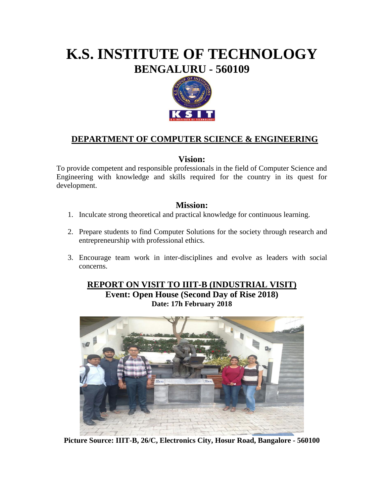# **K.S. INSTITUTE OF TECHNOLOGY BENGALURU - 560109**



## **DEPARTMENT OF COMPUTER SCIENCE & ENGINEERING**

#### **Vision:**

To provide competent and responsible professionals in the field of Computer Science and Engineering with knowledge and skills required for the country in its quest for development.

#### **Mission:**

- 1. Inculcate strong theoretical and practical knowledge for continuous learning.
- 2. Prepare students to find Computer Solutions for the society through research and entrepreneurship with professional ethics.
- 3. Encourage team work in inter-disciplines and evolve as leaders with social concerns.

## **REPORT ON VISIT TO IIIT-B (INDUSTRIAL VISIT)**

**Event: Open House (Second Day of Rise 2018) Date: 17h February 2018**



**Picture Source: IIIT-B, 26/C, Electronics City, Hosur Road, Bangalore - 560100**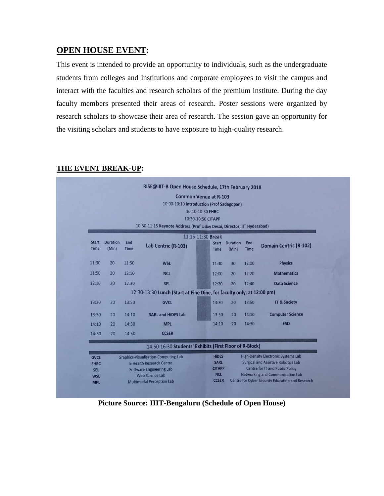#### **OPEN HOUSE EVENT:**

This event is intended to provide an opportunity to individuals, such as the undergraduate students from colleges and Institutions and corporate employees to visit the campus and interact with the faculties and research scholars of the premium institute. During the day faculty members presented their areas of research. Poster sessions were organized by research scholars to showcase their area of research. The session gave an opportunity for the visiting scholars and students to have exposure to high-quality research.

|                             | <b>Common Venue at R-103</b><br>10:00-10:10 Introduction (Prof Sadagopan)<br>10:10-10:30 EHRC<br>10:30-10:50 CITAPP<br>10:50-11:15 Keynote Address (Prof Uday Desai, Director, IIT Hyderabad) |                                                    |                                                                       |                             |                          |                                                                                      |                               |  |
|-----------------------------|-----------------------------------------------------------------------------------------------------------------------------------------------------------------------------------------------|----------------------------------------------------|-----------------------------------------------------------------------|-----------------------------|--------------------------|--------------------------------------------------------------------------------------|-------------------------------|--|
| <b>Start</b><br><b>Time</b> | <b>Duration</b><br>(Min)                                                                                                                                                                      | End<br><b>Time</b>                                 | 11:15-11:30 Break<br>Lab Centric (R-103)                              | <b>Start</b><br><b>Time</b> | <b>Duration</b><br>(Min) | End<br><b>Time</b>                                                                   | <b>Domain Centric (R-102)</b> |  |
| 11:30                       | 20                                                                                                                                                                                            | 11:50                                              | <b>WSL</b>                                                            | 11:30                       | 30                       | 12:00                                                                                | <b>Physics</b>                |  |
| 11:50                       | 20                                                                                                                                                                                            | 12:10                                              | <b>NCL</b>                                                            | 12:00                       | 20                       | 12:20                                                                                | <b>Mathematics</b>            |  |
| 12:10                       | 20                                                                                                                                                                                            | 12:30                                              | <b>SEL</b>                                                            | 12:20                       | 20                       | 12:40                                                                                | <b>Data Science</b>           |  |
|                             |                                                                                                                                                                                               |                                                    | 12:30-13:30 Lunch (Start at Fine Dine, for faculty only, at 12:00 pm) |                             |                          |                                                                                      |                               |  |
| 13:30                       | 20                                                                                                                                                                                            | 13:50                                              | <b>GVCL</b>                                                           | 13:30                       | 20                       | 13:50                                                                                | <b>IT &amp; Society</b>       |  |
| 13:50                       | 20                                                                                                                                                                                            | 14:10                                              | <b>SARL and HiDES Lab</b>                                             | 13:50                       | 20                       | 14:10                                                                                | <b>Computer Science</b>       |  |
| 14:10                       | 20                                                                                                                                                                                            | 14:30                                              | <b>MPL</b>                                                            | 14:10                       | 20                       | 14:30                                                                                | <b>ESD</b>                    |  |
| 14:30                       | 20                                                                                                                                                                                            | 14:50                                              | <b>CCSER</b>                                                          |                             |                          |                                                                                      |                               |  |
|                             |                                                                                                                                                                                               |                                                    | 14:50-16:30 Students' Exhibits (First Floor of R-Block)               |                             |                          |                                                                                      |                               |  |
| <b>GVCL</b>                 |                                                                                                                                                                                               | <b>Graphics-Visualization-Computing-Lab</b>        |                                                                       |                             | <b>HIDES</b>             | <b>High-Density Electronic Systems Lab</b>                                           |                               |  |
| <b>EHRC</b>                 |                                                                                                                                                                                               | <b>E-Health Research Centre</b>                    |                                                                       |                             | <b>CITAPP</b>            | <b>Surgical and Assistive Robotics Lab</b><br><b>Centre for IT and Public Policy</b> |                               |  |
| <b>SEL</b>                  |                                                                                                                                                                                               | <b>Software Engineering Lab</b><br>Web Science Lab |                                                                       |                             |                          | <b>Networking and Communication Lab</b>                                              |                               |  |
| <b>WSL</b><br><b>MPL</b>    |                                                                                                                                                                                               | <b>Multimodal Perception Lab</b>                   |                                                                       |                             | <b>CCSER</b>             | Centre for Cyber Security Education and Research                                     |                               |  |

#### **THE EVENT BREAK-UP:**

**Picture Source: IIIT-Bengaluru (Schedule of Open House)**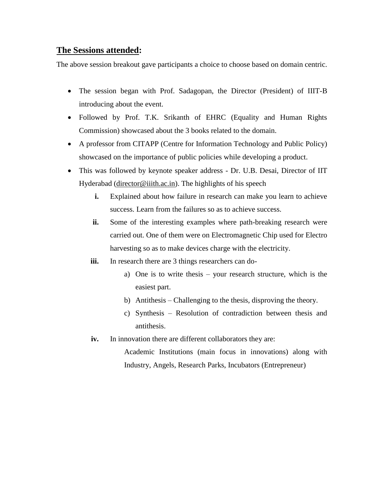#### **The Sessions attended:**

The above session breakout gave participants a choice to choose based on domain centric.

- The session began with Prof. Sadagopan, the Director (President) of IIIT-B introducing about the event.
- Followed by Prof. T.K. Srikanth of EHRC (Equality and Human Rights Commission) showcased about the 3 books related to the domain.
- A professor from CITAPP (Centre for Information Technology and Public Policy) showcased on the importance of public policies while developing a product.
- This was followed by keynote speaker address Dr. U.B. Desai, Director of IIT Hyderabad [\(director@iiith.ac.in\)](mailto:director@iiith.ac.in). The highlights of his speech
	- **i.** Explained about how failure in research can make you learn to achieve success. Learn from the failures so as to achieve success.
	- **ii.** Some of the interesting examples where path-breaking research were carried out. One of them were on Electromagnetic Chip used for Electro harvesting so as to make devices charge with the electricity.
	- iii. In research there are 3 things researchers can do
		- a) One is to write thesis your research structure, which is the easiest part.
		- b) Antithesis Challenging to the thesis, disproving the theory.
		- c) Synthesis Resolution of contradiction between thesis and antithesis.
	- iv. In innovation there are different collaborators they are:

Academic Institutions (main focus in innovations) along with Industry, Angels, Research Parks, Incubators (Entrepreneur)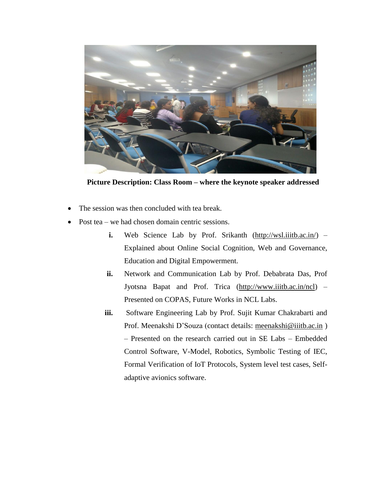

**Picture Description: Class Room – where the keynote speaker addressed**

- The session was then concluded with tea break.
- Post tea we had chosen domain centric sessions.
	- **i.** Web Science Lab by Prof. Srikanth [\(http://wsl.iiitb.ac.in/\)](http://wsl.iiitb.ac.in/) Explained about Online Social Cognition, Web and Governance, Education and Digital Empowerment.
	- **ii.** Network and Communication Lab by Prof. Debabrata Das, Prof Jyotsna Bapat and Prof. Trica [\(http://www.iiitb.ac.in/ncl\)](http://www.iiitb.ac.in/ncl) – Presented on COPAS, Future Works in NCL Labs.
	- **iii.** Software Engineering Lab by Prof. Sujit Kumar Chakrabarti and Prof. Meenakshi D'Souza (contact details: [meenakshi@iiitb.ac.in](mailto:meenakshi@iiitb.ac.in) ) – Presented on the research carried out in SE Labs – Embedded Control Software, V-Model, Robotics, Symbolic Testing of IEC, Formal Verification of IoT Protocols, System level test cases, Selfadaptive avionics software.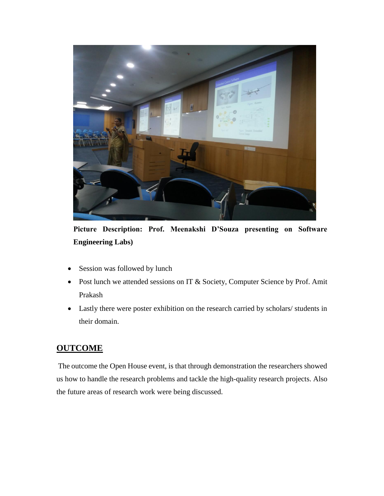

**Picture Description: Prof. Meenakshi D'Souza presenting on Software Engineering Labs)**

- Session was followed by lunch
- Post lunch we attended sessions on IT & Society, Computer Science by Prof. Amit Prakash
- Lastly there were poster exhibition on the research carried by scholars/ students in their domain.

### **OUTCOME**

The outcome the Open House event, is that through demonstration the researchers showed us how to handle the research problems and tackle the high-quality research projects. Also the future areas of research work were being discussed.